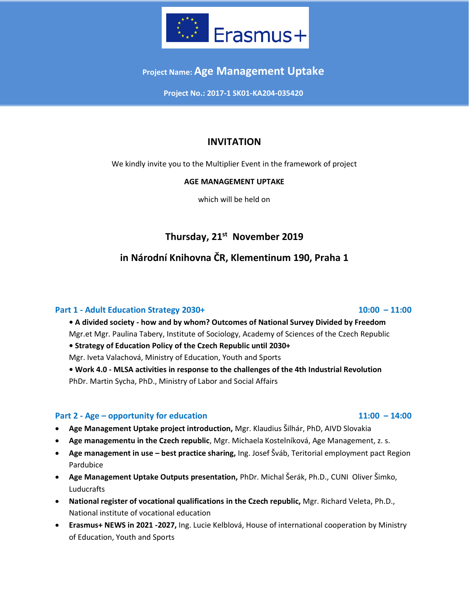

## **Project Name: Age Management Uptake**

**Project No.: 2017-1 SK01-KA204-035420**

## **INVITATION**

We kindly invite you to the Multiplier Event in the framework of project

### **AGE MANAGEMENT UPTAKE**

which will be held on

# **Thursday, 21 st November 2019**

## **in Národní Knihovna ČR, Klementinum 190, Praha 1**

### **Part 1 - Adult Education Strategy 2030+ 10:00 – 11:00**

**• A divided society - how and by whom? Outcomes of National Survey Divided by Freedom** Mgr.et Mgr. Paulina Tabery, Institute of Sociology, Academy of Sciences of the Czech Republic

**• Strategy of Education Policy of the Czech Republic until 2030+**

Mgr. Iveta Valachová, Ministry of Education, Youth and Sports

**• Work 4.0 - MLSA activities in response to the challenges of the 4th Industrial Revolution** PhDr. Martin Sycha, PhD., Ministry of Labor and Social Affairs

### **Part 2 - Age – opportunity for education 11:00 – 14:00**

- **Age Management Uptake project introduction,** Mgr. Klaudius Šilhár, PhD, AIVD Slovakia
- **Age managementu in the Czech republic**, Mgr. Michaela Kostelníková, Age Management, z. s.
- **Age management in use – best practice sharing,** Ing. Josef Šváb, Teritorial employment pact Region Pardubice
- **Age Management Uptake Outputs presentation,** PhDr. Michal Šerák, Ph.D., CUNI Oliver Šimko, Luducrafts
- **National register of vocational qualifications in the Czech republic,** Mgr. Richard Veleta, Ph.D., National institute of vocational education
- **Erasmus+ NEWS in 2021 -2027,** Ing. Lucie Kelblová, House of international cooperation by Ministry of Education, Youth and Sports